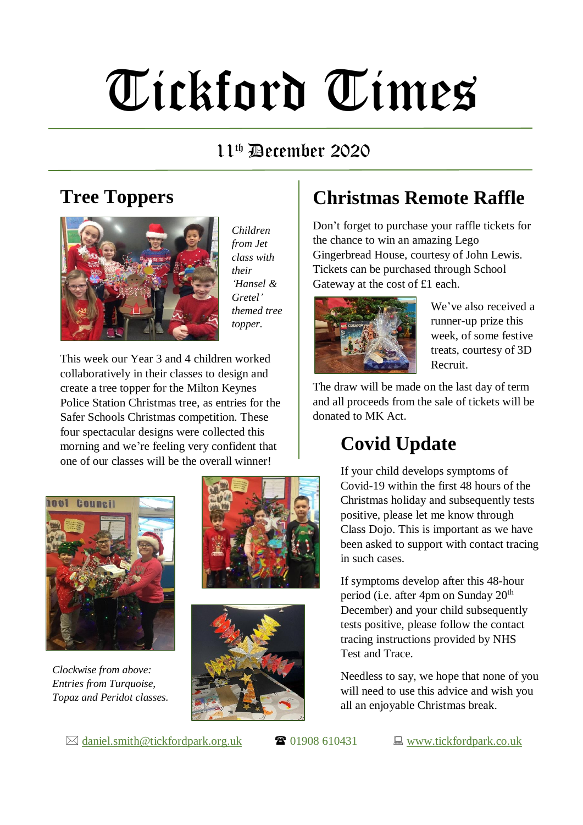# Tickford Times

#### $11<sup>th</sup>$  December 2020

#### **Tree Toppers**



*Children from Jet class with their 'Hansel & Gretel' themed tree topper.*

This week our Year 3 and 4 children worked collaboratively in their classes to design and create a tree topper for the Milton Keynes Police Station Christmas tree, as entries for the Safer Schools Christmas competition. These four spectacular designs were collected this morning and we're feeling very confident that one of our classes will be the overall winner!



*Clockwise from above: Entries from Turquoise, Topaz and Peridot classes.*





#### $\boxtimes$  [daniel.smith@tickfordpark.org.uk](mailto:daniel.smith@tickfordpark.org.uk)  $\bullet$  01908 610431  $\Box$  [www.tickfordpark.co.uk](http://www.tickfordpark.co.uk/)

## **Christmas Remote Raffle**

Don't forget to purchase your raffle tickets for the chance to win an amazing Lego Gingerbread House, courtesy of John Lewis. Tickets can be purchased through School Gateway at the cost of £1 each.



We've also received a runner-up prize this week, of some festive treats, courtesy of 3D Recruit.

The draw will be made on the last day of term and all proceeds from the sale of tickets will be donated to MK Act.

## **Covid Update**

If your child develops symptoms of Covid-19 within the first 48 hours of the Christmas holiday and subsequently tests positive, please let me know through Class Dojo. This is important as we have been asked to support with contact tracing in such cases.

If symptoms develop after this 48-hour period (i.e. after 4pm on Sunday 20<sup>th</sup> December) and your child subsequently tests positive, please follow the contact tracing instructions provided by NHS Test and Trace.

Needless to say, we hope that none of you will need to use this advice and wish you all an enjoyable Christmas break.